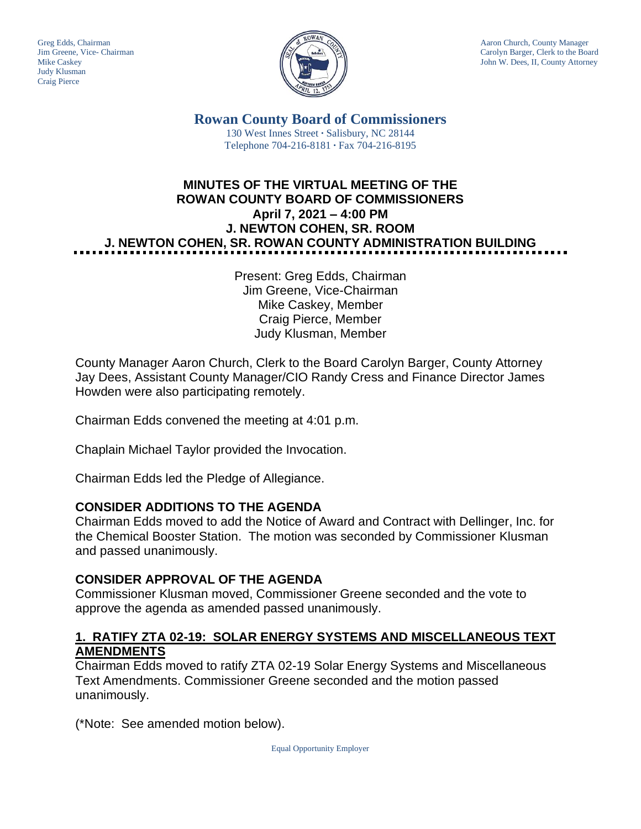Judy Klusman Craig Pierce



Greg Edds, Chairman Aaron Church, County Manager<br>Jim Greene, Vice- Chairman Aaron Church, County Manager<br>Carolyn Barger, Clerk to the Boa Carolyn Barger, Clerk to the Board Mike Caskey John W. Dees, II, County Attorney

> **Rowan County Board of Commissioners** 130 West Innes Street **∙** Salisbury, NC 28144 Telephone 704-216-8181 **∙** Fax 704-216-8195

# **MINUTES OF THE VIRTUAL MEETING OF THE ROWAN COUNTY BOARD OF COMMISSIONERS April 7, 2021 – 4:00 PM J. NEWTON COHEN, SR. ROOM J. NEWTON COHEN, SR. ROWAN COUNTY ADMINISTRATION BUILDING**

Present: Greg Edds, Chairman Jim Greene, Vice-Chairman Mike Caskey, Member Craig Pierce, Member Judy Klusman, Member

County Manager Aaron Church, Clerk to the Board Carolyn Barger, County Attorney Jay Dees, Assistant County Manager/CIO Randy Cress and Finance Director James Howden were also participating remotely.

Chairman Edds convened the meeting at 4:01 p.m.

Chaplain Michael Taylor provided the Invocation.

Chairman Edds led the Pledge of Allegiance.

#### **CONSIDER ADDITIONS TO THE AGENDA**

Chairman Edds moved to add the Notice of Award and Contract with Dellinger, Inc. for the Chemical Booster Station. The motion was seconded by Commissioner Klusman and passed unanimously.

## **CONSIDER APPROVAL OF THE AGENDA**

Commissioner Klusman moved, Commissioner Greene seconded and the vote to approve the agenda as amended passed unanimously.

### **1. RATIFY ZTA 02-19: SOLAR ENERGY SYSTEMS AND MISCELLANEOUS TEXT AMENDMENTS**

Chairman Edds moved to ratify ZTA 02-19 Solar Energy Systems and Miscellaneous Text Amendments. Commissioner Greene seconded and the motion passed unanimously.

(\*Note: See amended motion below).